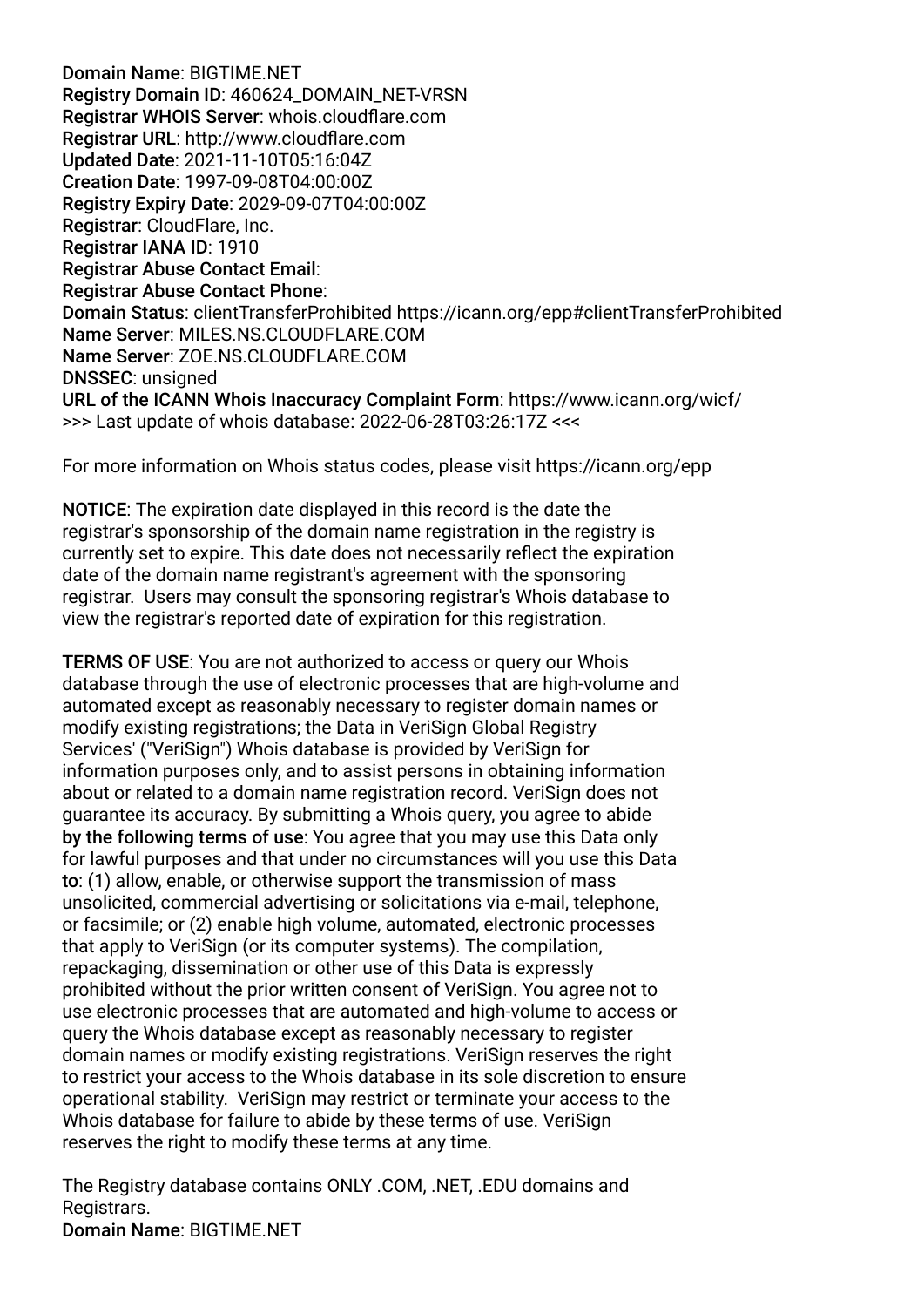Domain Name: BIGTIME.NET Registry Domain ID: 460624\_DOMAIN\_NET-VRSN Registrar WHOIS Server: whois.cloudfare.com Registrar URL: http://www.cloudfare.com Updated Date: 2021-11-10T05:16:04Z Creation Date: 1997-09-08T04:00:00Z Registry Expiry Date: 2029-09-07T04:00:00Z Registrar: CloudFlare, Inc. Registrar IANA ID: 1910 Registrar Abuse Contact Email: Registrar Abuse Contact Phone: Domain Status: clientTransferProhibited https://icann.org/epp#clientTransferProhibited Name Server: MILES.NS.CLOUDFLARE.COM Name Server: ZOE.NS.CLOUDFLARE.COM DNSSEC: unsigned URL of the ICANN Whois Inaccuracy Complaint Form: https://www.icann.org/wicf/ >>> Last update of whois database: 2022-06-28T03:26:17Z <<<

For more information on Whois status codes, please visit https://icann.org/epp

NOTICE: The expiration date displayed in this record is the date the registrar's sponsorship of the domain name registration in the registry is currently set to expire. This date does not necessarily refect the expiration date of the domain name registrant's agreement with the sponsoring registrar. Users may consult the sponsoring registrar's Whois database to view the registrar's reported date of expiration for this registration.

TERMS OF USE: You are not authorized to access or query our Whois database through the use of electronic processes that are high-volume and automated except as reasonably necessary to register domain names or modify existing registrations; the Data in VeriSign Global Registry Services' ("VeriSign") Whois database is provided by VeriSign for information purposes only, and to assist persons in obtaining information about or related to a domain name registration record. VeriSign does not guarantee its accuracy. By submitting a Whois query, you agree to abide by the following terms of use: You agree that you may use this Data only for lawful purposes and that under no circumstances will you use this Data to: (1) allow, enable, or otherwise support the transmission of mass unsolicited, commercial advertising or solicitations via e-mail, telephone, or facsimile; or (2) enable high volume, automated, electronic processes that apply to VeriSign (or its computer systems). The compilation, repackaging, dissemination or other use of this Data is expressly prohibited without the prior written consent of VeriSign. You agree not to use electronic processes that are automated and high-volume to access or query the Whois database except as reasonably necessary to register domain names or modify existing registrations. VeriSign reserves the right to restrict your access to the Whois database in its sole discretion to ensure operational stability. VeriSign may restrict or terminate your access to the Whois database for failure to abide by these terms of use. VeriSign reserves the right to modify these terms at any time.

The Registry database contains ONLY .COM, .NET, .EDU domains and Registrars. Domain Name: BIGTIME.NET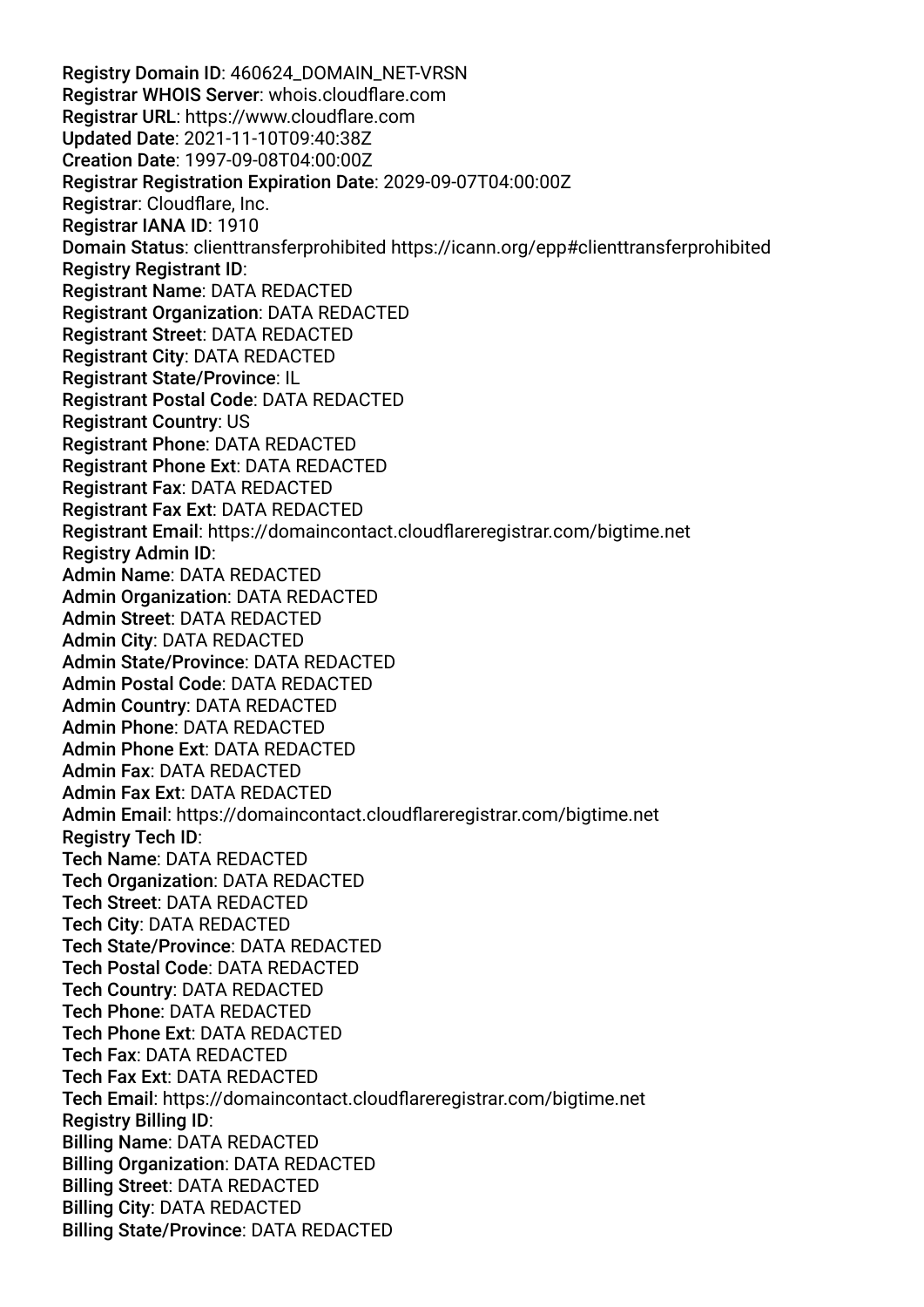Registry Domain ID: 460624\_DOMAIN\_NET-VRSN Registrar WHOIS Server: whois.cloudfare.com Registrar URL: https://www.cloudfare.com Updated Date: 2021-11-10T09:40:38Z Creation Date: 1997-09-08T04:00:00Z Registrar Registration Expiration Date: 2029-09-07T04:00:00Z Registrar: Cloudfare, Inc. Registrar IANA ID: 1910 Domain Status: clienttransferprohibited https://icann.org/epp#clienttransferprohibited Registry Registrant ID: Registrant Name: DATA REDACTED Registrant Organization: DATA REDACTED Registrant Street: DATA REDACTED Registrant City: DATA REDACTED Registrant State/Province: IL Registrant Postal Code: DATA REDACTED Registrant Country: US Registrant Phone: DATA REDACTED Registrant Phone Ext: DATA REDACTED Registrant Fax: DATA REDACTED Registrant Fax Ext: DATA REDACTED Registrant Email: https://domaincontact.cloudfareregistrar.com/bigtime.net Registry Admin ID: Admin Name: DATA REDACTED Admin Organization: DATA REDACTED Admin Street: DATA REDACTED Admin City: DATA REDACTED Admin State/Province: DATA REDACTED Admin Postal Code: DATA REDACTED Admin Country: DATA REDACTED Admin Phone: DATA REDACTED Admin Phone Ext: DATA REDACTED Admin Fax: DATA REDACTED Admin Fax Ext: DATA REDACTED Admin Email: https://domaincontact.cloudfareregistrar.com/bigtime.net Registry Tech ID: Tech Name: DATA REDACTED Tech Organization: DATA REDACTED Tech Street: DATA REDACTED Tech City: DATA REDACTED Tech State/Province: DATA REDACTED Tech Postal Code: DATA REDACTED Tech Country: DATA REDACTED Tech Phone: DATA REDACTED Tech Phone Ext: DATA REDACTED Tech Fax: DATA REDACTED Tech Fax Ext: DATA REDACTED Tech Email: https://domaincontact.cloudfareregistrar.com/bigtime.net Registry Billing ID: Billing Name: DATA REDACTED Billing Organization: DATA REDACTED Billing Street: DATA REDACTED Billing City: DATA REDACTED Billing State/Province: DATA REDACTED